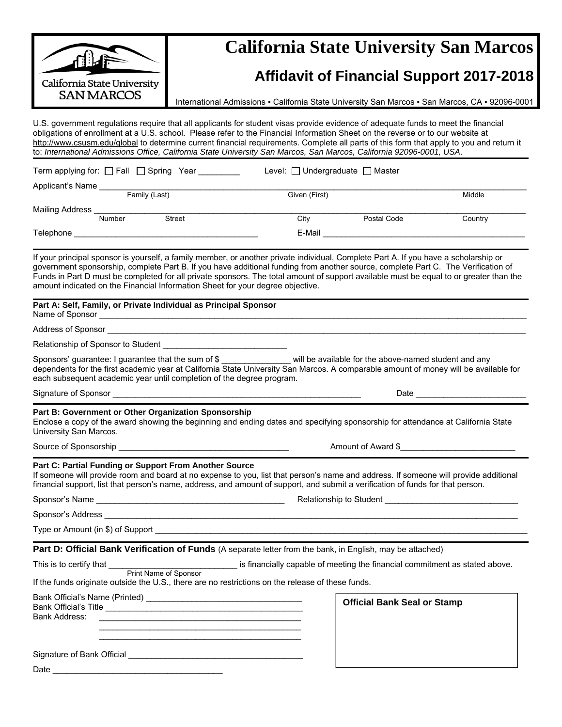|                                                                                                                                                                                                                                                                                                                                                                                               | <b>California State University San Marcos</b>                                                                                         |                                 |                                                                                                                                                                                                                                |  |  |  |
|-----------------------------------------------------------------------------------------------------------------------------------------------------------------------------------------------------------------------------------------------------------------------------------------------------------------------------------------------------------------------------------------------|---------------------------------------------------------------------------------------------------------------------------------------|---------------------------------|--------------------------------------------------------------------------------------------------------------------------------------------------------------------------------------------------------------------------------|--|--|--|
| California State University                                                                                                                                                                                                                                                                                                                                                                   | <b>Affidavit of Financial Support 2017-2018</b>                                                                                       |                                 |                                                                                                                                                                                                                                |  |  |  |
| <b>SAN MARCOS</b>                                                                                                                                                                                                                                                                                                                                                                             | International Admissions - California State University San Marcos - San Marcos, CA - 92096-0001                                       |                                 |                                                                                                                                                                                                                                |  |  |  |
| U.S. government regulations require that all applicants for student visas provide evidence of adequate funds to meet the financial<br>obligations of enrollment at a U.S. school. Please refer to the Financial Information Sheet on the reverse or to our website at<br>to: International Admissions Office, California State University San Marcos, San Marcos, California 92096-0001, USA. |                                                                                                                                       |                                 | http://www.csusm.edu/global to determine current financial requirements. Complete all parts of this form that apply to you and return it                                                                                       |  |  |  |
| Term applying for: □ Fall □ Spring Year ________                                                                                                                                                                                                                                                                                                                                              |                                                                                                                                       | Level: □ Undergraduate □ Master |                                                                                                                                                                                                                                |  |  |  |
| Applicant's Name<br>Family (Last)                                                                                                                                                                                                                                                                                                                                                             |                                                                                                                                       | Given (First)                   | Middle                                                                                                                                                                                                                         |  |  |  |
| Mailing Address Mumber Street                                                                                                                                                                                                                                                                                                                                                                 |                                                                                                                                       |                                 |                                                                                                                                                                                                                                |  |  |  |
|                                                                                                                                                                                                                                                                                                                                                                                               |                                                                                                                                       | City                            | Postal Code<br>Country                                                                                                                                                                                                         |  |  |  |
|                                                                                                                                                                                                                                                                                                                                                                                               |                                                                                                                                       |                                 | E-Mail experience and the contract of the contract of the contract of the contract of the contract of the contract of the contract of the contract of the contract of the contract of the contract of the contract of the cont |  |  |  |
| If your principal sponsor is yourself, a family member, or another private individual, Complete Part A. If you have a scholarship or<br>government sponsorship, complete Part B. If you have additional funding from another source, complete Part C. The Verification of<br>amount indicated on the Financial Information Sheet for your degree objective.                                   |                                                                                                                                       |                                 | Funds in Part D must be completed for all private sponsors. The total amount of support available must be equal to or greater than the                                                                                         |  |  |  |
| Part A: Self, Family, or Private Individual as Principal Sponsor                                                                                                                                                                                                                                                                                                                              |                                                                                                                                       |                                 |                                                                                                                                                                                                                                |  |  |  |
| Address of Sponsor                                                                                                                                                                                                                                                                                                                                                                            |                                                                                                                                       |                                 |                                                                                                                                                                                                                                |  |  |  |
|                                                                                                                                                                                                                                                                                                                                                                                               |                                                                                                                                       |                                 |                                                                                                                                                                                                                                |  |  |  |
| Sponsors' guarantee: I guarantee that the sum of \$ _______________ will be available for the above-named student and any<br>each subsequent academic year until completion of the degree program.                                                                                                                                                                                            |                                                                                                                                       |                                 | dependents for the first academic year at California State University San Marcos. A comparable amount of money will be available for                                                                                           |  |  |  |
|                                                                                                                                                                                                                                                                                                                                                                                               |                                                                                                                                       |                                 |                                                                                                                                                                                                                                |  |  |  |
| Part B: Government or Other Organization Sponsorship<br>Enclose a copy of the award showing the beginning and ending dates and specifying sponsorship for attendance at California State<br>University San Marcos.                                                                                                                                                                            |                                                                                                                                       |                                 |                                                                                                                                                                                                                                |  |  |  |
| Source of Sponsorship                                                                                                                                                                                                                                                                                                                                                                         | Amount of Award \$                                                                                                                    |                                 |                                                                                                                                                                                                                                |  |  |  |
| Part C: Partial Funding or Support From Another Source<br>financial support, list that person's name, address, and amount of support, and submit a verification of funds for that person.                                                                                                                                                                                                     |                                                                                                                                       |                                 | If someone will provide room and board at no expense to you, list that person's name and address. If someone will provide additional                                                                                           |  |  |  |
|                                                                                                                                                                                                                                                                                                                                                                                               | Relationship to Student <b>Example 2018</b>                                                                                           |                                 |                                                                                                                                                                                                                                |  |  |  |
|                                                                                                                                                                                                                                                                                                                                                                                               |                                                                                                                                       |                                 |                                                                                                                                                                                                                                |  |  |  |
| Type or Amount (in \$) of Support <b>the contract of the contract of the contract of the contract of the contract of the contract of the contract of the contract of the contract of the contract of the contract of the contract</b>                                                                                                                                                         |                                                                                                                                       |                                 |                                                                                                                                                                                                                                |  |  |  |
| Part D: Official Bank Verification of Funds (A separate letter from the bank, in English, may be attached)                                                                                                                                                                                                                                                                                    |                                                                                                                                       |                                 |                                                                                                                                                                                                                                |  |  |  |
| This is to certify that <b>was all above.</b> is financially capable of meeting the financial commitment as stated above.<br>Print Name of Sponsor                                                                                                                                                                                                                                            |                                                                                                                                       |                                 |                                                                                                                                                                                                                                |  |  |  |
| If the funds originate outside the U.S., there are no restrictions on the release of these funds.                                                                                                                                                                                                                                                                                             |                                                                                                                                       |                                 |                                                                                                                                                                                                                                |  |  |  |
| Bank Official's Title <b>Exercise Contract Contract Contract Contract Contract Contract Contract Contract Contract Contract Contract Contract Contract Contract Contract Contract Contract Contract Contract Contract Contract C</b><br>Bank Address:                                                                                                                                         | <u> 1989 - Johann John Stein, markin fizik eta idazlear (h. 1989).</u><br><u> 1989 - Johann Stoff, amerikansk politiker (d. 1989)</u> |                                 | <b>Official Bank Seal or Stamp</b>                                                                                                                                                                                             |  |  |  |
|                                                                                                                                                                                                                                                                                                                                                                                               |                                                                                                                                       |                                 |                                                                                                                                                                                                                                |  |  |  |
|                                                                                                                                                                                                                                                                                                                                                                                               |                                                                                                                                       |                                 |                                                                                                                                                                                                                                |  |  |  |